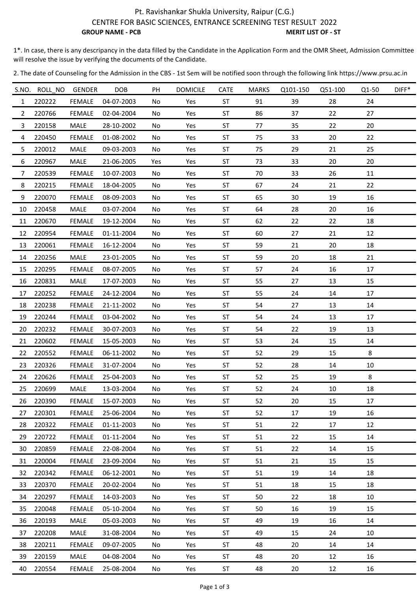## Pt. Ravishankar Shukla University, Raipur (C.G.) CENTRE FOR BASIC SCIENCES, ENTRANCE SCREENING TEST RESULT 2022 **GROUP NAME - PCB** MERIT LIST OF - ST

1\*. In case, there is any descripancy in the data filled by the Candidate in the Application Form and the OMR Sheet, Admission Committee will resolve the issue by verifying the documents of the Candidate.

2. The date of Counseling for the Admission in the CBS ‐ 1st Sem will be notified soon through the following link https://www.prsu.ac.in

|                | S.NO. ROLL NO | <b>GENDER</b> | <b>DOB</b> | PH  | <b>DOMICILE</b> | CATE      | <b>MARKS</b> | Q101-150 | Q51-100 | Q1-50 | $DIFF*$ |
|----------------|---------------|---------------|------------|-----|-----------------|-----------|--------------|----------|---------|-------|---------|
| $\mathbf{1}$   | 220222        | <b>FEMALE</b> | 04-07-2003 | No  | Yes             | <b>ST</b> | 91           | 39       | 28      | 24    |         |
| $\overline{2}$ | 220766        | <b>FEMALE</b> | 02-04-2004 | No  | Yes             | <b>ST</b> | 86           | 37       | 22      | 27    |         |
| 3              | 220158        | MALE          | 28-10-2002 | No  | Yes             | ST        | 77           | 35       | 22      | 20    |         |
| 4              | 220450        | <b>FEMALE</b> | 01-08-2002 | No  | Yes             | <b>ST</b> | 75           | 33       | 20      | 22    |         |
| 5              | 220012        | MALE          | 09-03-2003 | No  | Yes             | <b>ST</b> | 75           | 29       | 21      | 25    |         |
| 6              | 220967        | MALE          | 21-06-2005 | Yes | Yes             | <b>ST</b> | 73           | 33       | 20      | 20    |         |
| 7              | 220539        | <b>FEMALE</b> | 10-07-2003 | No  | Yes             | <b>ST</b> | 70           | 33       | 26      | 11    |         |
| 8              | 220215        | <b>FEMALE</b> | 18-04-2005 | No  | Yes             | <b>ST</b> | 67           | 24       | 21      | 22    |         |
| 9              | 220070        | <b>FEMALE</b> | 08-09-2003 | No  | Yes             | ST        | 65           | 30       | 19      | 16    |         |
| 10             | 220458        | MALE          | 03-07-2004 | No  | Yes             | <b>ST</b> | 64           | 28       | 20      | 16    |         |
| 11             | 220670        | <b>FEMALE</b> | 19-12-2004 | No  | Yes             | <b>ST</b> | 62           | 22       | 22      | 18    |         |
| 12             | 220954        | <b>FEMALE</b> | 01-11-2004 | No  | Yes             | <b>ST</b> | 60           | 27       | 21      | 12    |         |
| 13             | 220061        | <b>FEMALE</b> | 16-12-2004 | No  | Yes             | <b>ST</b> | 59           | 21       | 20      | 18    |         |
| 14             | 220256        | <b>MALE</b>   | 23-01-2005 | No  | Yes             | ST        | 59           | 20       | 18      | 21    |         |
| 15             | 220295        | <b>FEMALE</b> | 08-07-2005 | No  | Yes             | <b>ST</b> | 57           | 24       | 16      | 17    |         |
| 16             | 220831        | MALE          | 17-07-2003 | No  | Yes             | ST        | 55           | 27       | 13      | 15    |         |
| 17             | 220252        | <b>FEMALE</b> | 24-12-2004 | No  | Yes             | ST        | 55           | 24       | 14      | 17    |         |
| 18             | 220238        | <b>FEMALE</b> | 21-11-2002 | No. | Yes             | <b>ST</b> | 54           | 27       | 13      | 14    |         |
| 19             | 220244        | <b>FEMALE</b> | 03-04-2002 | No  | Yes             | <b>ST</b> | 54           | 24       | 13      | 17    |         |
| 20             | 220232        | <b>FEMALE</b> | 30-07-2003 | No  | Yes             | <b>ST</b> | 54           | 22       | 19      | 13    |         |
| 21             | 220602        | <b>FEMALE</b> | 15-05-2003 | No  | Yes             | <b>ST</b> | 53           | 24       | 15      | 14    |         |
| 22             | 220552        | <b>FEMALE</b> | 06-11-2002 | No  | Yes             | ST        | 52           | 29       | 15      | 8     |         |
| 23             | 220326        | <b>FEMALE</b> | 31-07-2004 | No  | Yes             | <b>ST</b> | 52           | 28       | 14      | 10    |         |
| 24             | 220626        | <b>FEMALE</b> | 25-04-2003 | No  | Yes             | <b>ST</b> | 52           | 25       | 19      | 8     |         |
| 25             | 220699        | <b>MALE</b>   | 13-03-2004 | No  | Yes             | <b>ST</b> | 52           | 24       | 10      | 18    |         |
| 26             | 220390        | <b>FEMALE</b> | 15-07-2003 | No. | Yes             | ST        | 52           | 20       | 15      | 17    |         |
| 27             | 220301        | <b>FEMALE</b> | 25-06-2004 | No  | Yes             | <b>ST</b> | 52           | 17       | 19      | 16    |         |
| 28             | 220322        | <b>FEMALE</b> | 01-11-2003 | No  | Yes             | ST        | 51           | 22       | 17      | 12    |         |
| 29             | 220722        | FEMALE        | 01-11-2004 | No  | Yes             | <b>ST</b> | 51           | 22       | 15      | 14    |         |
| 30             | 220859        | <b>FEMALE</b> | 22-08-2004 | No. | Yes             | ST        | 51           | 22       | 14      | 15    |         |
| 31             | 220004        | <b>FEMALE</b> | 23-09-2004 | No  | Yes             | ST        | 51           | 21       | 15      | 15    |         |
| 32             | 220342        | <b>FEMALE</b> | 06-12-2001 | No  | Yes             | ST        | 51           | 19       | 14      | 18    |         |
| 33             | 220370        | <b>FEMALE</b> | 20-02-2004 | No  | Yes             | ST        | 51           | 18       | 15      | 18    |         |
| 34             | 220297        | <b>FEMALE</b> | 14-03-2003 | No  | Yes             | <b>ST</b> | 50           | 22       | 18      | 10    |         |
| 35             | 220048        | FEMALE        | 05-10-2004 | No  | Yes             | <b>ST</b> | 50           | 16       | 19      | 15    |         |
| 36             | 220193        | MALE          | 05-03-2003 | No  | Yes             | ST        | 49           | 19       | 16      | 14    |         |
| 37             | 220208        | MALE          | 31-08-2004 | No. | Yes             | ST        | 49           | 15       | 24      | 10    |         |
| 38             | 220211        | <b>FEMALE</b> | 09-07-2005 | No  | Yes             | <b>ST</b> | 48           | 20       | 14      | 14    |         |
| 39             | 220159        | MALE          | 04-08-2004 | No  | Yes             | <b>ST</b> | 48           | 20       | 12      | 16    |         |
| 40             | 220554        | FEMALE        | 25-08-2004 | No  | Yes             | ST        | 48           | 20       | 12      | 16    |         |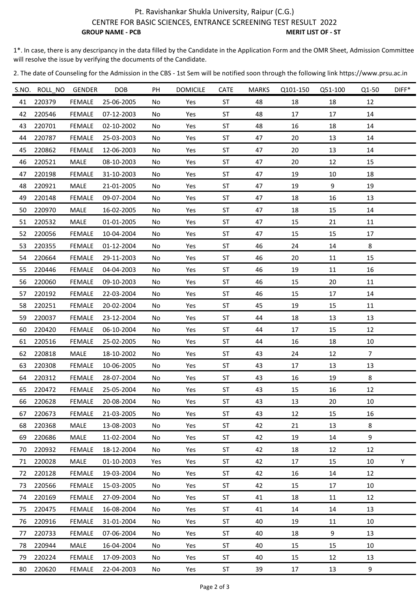## Pt. Ravishankar Shukla University, Raipur (C.G.) CENTRE FOR BASIC SCIENCES, ENTRANCE SCREENING TEST RESULT 2022 **GROUP NAME - PCB** MERIT LIST OF - ST

1\*. In case, there is any descripancy in the data filled by the Candidate in the Application Form and the OMR Sheet, Admission Committee will resolve the issue by verifying the documents of the Candidate.

2. The date of Counseling for the Admission in the CBS ‐ 1st Sem will be notified soon through the following link https://www.prsu.ac.in

|    | S.NO. ROLL NO | GENDER        | <b>DOB</b> | PH  | <b>DOMICILE</b> | <b>CATE</b> | <b>MARKS</b> | Q101-150 | Q51-100 | Q1-50          | $DIFF*$ |
|----|---------------|---------------|------------|-----|-----------------|-------------|--------------|----------|---------|----------------|---------|
| 41 | 220379        | <b>FEMALE</b> | 25-06-2005 | No. | Yes             | <b>ST</b>   | 48           | 18       | 18      | 12             |         |
| 42 | 220546        | <b>FEMALE</b> | 07-12-2003 | No  | Yes             | ST          | 48           | 17       | 17      | 14             |         |
| 43 | 220701        | <b>FEMALE</b> | 02-10-2002 | No  | Yes             | <b>ST</b>   | 48           | 16       | 18      | 14             |         |
| 44 | 220787        | <b>FEMALE</b> | 25-03-2003 | No  | Yes             | <b>ST</b>   | 47           | 20       | 13      | 14             |         |
| 45 | 220862        | <b>FEMALE</b> | 12-06-2003 | No  | Yes             | <b>ST</b>   | 47           | 20       | 13      | 14             |         |
| 46 | 220521        | MALE          | 08-10-2003 | No  | Yes             | <b>ST</b>   | 47           | 20       | 12      | 15             |         |
| 47 | 220198        | <b>FEMALE</b> | 31-10-2003 | No. | Yes             | <b>ST</b>   | 47           | 19       | 10      | 18             |         |
| 48 | 220921        | MALE          | 21-01-2005 | No  | Yes             | ST          | 47           | 19       | 9       | 19             |         |
| 49 | 220148        | <b>FEMALE</b> | 09-07-2004 | No  | Yes             | ST          | 47           | 18       | 16      | 13             |         |
| 50 | 220970        | MALE          | 16-02-2005 | No  | Yes             | ST          | 47           | 18       | 15      | 14             |         |
| 51 | 220532        | MALE          | 01-01-2005 | No  | Yes             | <b>ST</b>   | 47           | 15       | 21      | 11             |         |
| 52 | 220056        | <b>FEMALE</b> | 10-04-2004 | No  | Yes             | ST          | 47           | 15       | 15      | 17             |         |
| 53 | 220355        | <b>FEMALE</b> | 01-12-2004 | No  | Yes             | <b>ST</b>   | 46           | 24       | 14      | 8              |         |
| 54 | 220664        | <b>FEMALE</b> | 29-11-2003 | No  | Yes             | ST          | 46           | 20       | 11      | 15             |         |
| 55 | 220446        | <b>FEMALE</b> | 04-04-2003 | No  | Yes             | <b>ST</b>   | 46           | 19       | 11      | 16             |         |
| 56 | 220060        | <b>FEMALE</b> | 09-10-2003 | No  | Yes             | ST          | 46           | 15       | 20      | 11             |         |
| 57 | 220192        | <b>FEMALE</b> | 22-03-2004 | No  | Yes             | ST          | 46           | 15       | 17      | 14             |         |
| 58 | 220251        | <b>FEMALE</b> | 20-02-2004 | No  | Yes             | ST          | 45           | 19       | 15      | 11             |         |
| 59 | 220037        | <b>FEMALE</b> | 23-12-2004 | No. | Yes             | <b>ST</b>   | 44           | 18       | 13      | 13             |         |
| 60 | 220420        | <b>FEMALE</b> | 06-10-2004 | No  | Yes             | <b>ST</b>   | 44           | 17       | 15      | 12             |         |
| 61 | 220516        | <b>FEMALE</b> | 25-02-2005 | No  | Yes             | ST          | 44           | 16       | 18      | 10             |         |
| 62 | 220818        | MALE          | 18-10-2002 | No. | Yes             | <b>ST</b>   | 43           | 24       | 12      | $\overline{7}$ |         |
| 63 | 220308        | <b>FEMALE</b> | 10-06-2005 | No  | Yes             | ST          | 43           | 17       | 13      | 13             |         |
| 64 | 220312        | <b>FEMALE</b> | 28-07-2004 | No  | Yes             | <b>ST</b>   | 43           | 16       | 19      | 8              |         |
| 65 | 220472        | <b>FEMALE</b> | 25-05-2004 | No  | Yes             | <b>ST</b>   | 43           | 15       | 16      | 12             |         |
| 66 | 220628        | <b>FEMALE</b> | 20-08-2004 | No  | Yes             | <b>ST</b>   | 43           | 13       | 20      | 10             |         |
| 67 | 220673        | <b>FEMALE</b> | 21-03-2005 | No  | Yes             | ST          | 43           | 12       | 15      | 16             |         |
| 68 | 220368        | <b>MALE</b>   | 13-08-2003 | No  | Yes             | ST          | 42           | 21       | 13      | 8              |         |
| 69 | 220686        | MALE          | 11-02-2004 | No  | Yes             | ST          | 42           | 19       | 14      | 9              |         |
| 70 | 220932        | FEMALE        | 18-12-2004 | No. | Yes             | <b>ST</b>   | 42           | 18       | 12      | 12             |         |
| 71 | 220028        | MALE          | 01-10-2003 | Yes | Yes             | ST          | 42           | 17       | 15      | 10             | Y       |
| 72 | 220128        | <b>FEMALE</b> | 19-03-2004 | No. | Yes             | ST          | 42           | 16       | 14      | 12             |         |
| 73 | 220566        | <b>FEMALE</b> | 15-03-2005 | No  | Yes             | ST          | 42           | 15       | 17      | 10             |         |
| 74 | 220169        | <b>FEMALE</b> | 27-09-2004 | No  | Yes             | <b>ST</b>   | 41           | 18       | $11\,$  | 12             |         |
| 75 | 220475        | <b>FEMALE</b> | 16-08-2004 | No  | Yes             | ST          | 41           | 14       | 14      | 13             |         |
| 76 | 220916        | FEMALE        | 31-01-2004 | No  | Yes             | <b>ST</b>   | 40           | 19       | 11      | 10             |         |
| 77 | 220733        | <b>FEMALE</b> | 07-06-2004 | No  | Yes             | ST          | 40           | 18       | 9       | 13             |         |
| 78 | 220944        | <b>MALE</b>   | 16-04-2004 | No. | Yes             | <b>ST</b>   | 40           | 15       | 15      | 10             |         |
| 79 | 220224        | FEMALE        | 17-09-2003 | No  | Yes             | ST          | 40           | 15       | 12      | 13             |         |
| 80 | 220620        | <b>FEMALE</b> | 22-04-2003 | No  | Yes             | ST          | 39           | 17       | 13      | 9              |         |